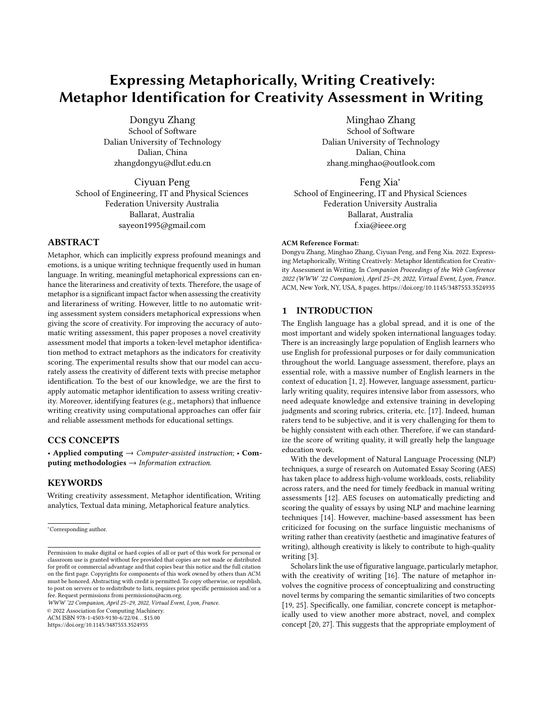# Expressing Metaphorically, Writing Creatively: Metaphor Identification for Creativity Assessment in Writing

Dongyu Zhang School of Software Dalian University of Technology Dalian, China zhangdongyu@dlut.edu.cn

Ciyuan Peng School of Engineering, IT and Physical Sciences Federation University Australia Ballarat, Australia sayeon1995@gmail.com

# ABSTRACT

Metaphor, which can implicitly express profound meanings and emotions, is a unique writing technique frequently used in human language. In writing, meaningful metaphorical expressions can enhance the literariness and creativity of texts. Therefore, the usage of metaphor is a significant impact factor when assessing the creativity and literariness of writing. However, little to no automatic writing assessment system considers metaphorical expressions when giving the score of creativity. For improving the accuracy of automatic writing assessment, this paper proposes a novel creativity assessment model that imports a token-level metaphor identification method to extract metaphors as the indicators for creativity scoring. The experimental results show that our model can accurately assess the creativity of different texts with precise metaphor identification. To the best of our knowledge, we are the first to apply automatic metaphor identification to assess writing creativity. Moreover, identifying features (e.g., metaphors) that influence writing creativity using computational approaches can offer fair and reliable assessment methods for educational settings.

# CCS CONCEPTS

• Applied computing  $\rightarrow$  Computer-assisted instruction; • Computing methodologies  $\rightarrow$  Information extraction.

# **KEYWORDS**

Writing creativity assessment, Metaphor identification, Writing analytics, Textual data mining, Metaphorical feature analytics.

WWW '22 Companion, April 25–29, 2022, Virtual Event, Lyon, France.

© 2022 Association for Computing Machinery.

ACM ISBN 978-1-4503-9130-6/22/04. . . \$15.00

<https://doi.org/10.1145/3487553.3524935>

Minghao Zhang

School of Software Dalian University of Technology Dalian, China zhang.minghao@outlook.com

Feng Xia<sup>∗</sup> School of Engineering, IT and Physical Sciences Federation University Australia Ballarat, Australia f.xia@ieee.org

#### ACM Reference Format:

Dongyu Zhang, Minghao Zhang, Ciyuan Peng, and Feng Xia. 2022. Expressing Metaphorically, Writing Creatively: Metaphor Identification for Creativity Assessment in Writing. In Companion Proceedings of the Web Conference 2022 (WWW '22 Companion), April 25–29, 2022, Virtual Event, Lyon, France. ACM, New York, NY, USA, [8](#page-7-0) pages.<https://doi.org/10.1145/3487553.3524935>

# 1 INTRODUCTION

The English language has a global spread, and it is one of the most important and widely spoken international languages today. There is an increasingly large population of English learners who use English for professional purposes or for daily communication throughout the world. Language assessment, therefore, plays an essential role, with a massive number of English learners in the context of education [\[1,](#page-6-0) [2\]](#page-6-1). However, language assessment, particularly writing quality, requires intensive labor from assessors, who need adequate knowledge and extensive training in developing judgments and scoring rubrics, criteria, etc. [\[17\]](#page-6-2). Indeed, human raters tend to be subjective, and it is very challenging for them to be highly consistent with each other. Therefore, if we can standardize the score of writing quality, it will greatly help the language education work.

With the development of Natural Language Processing (NLP) techniques, a surge of research on Automated Essay Scoring (AES) has taken place to address high-volume workloads, costs, reliability across raters, and the need for timely feedback in manual writing assessments [\[12\]](#page-6-3). AES focuses on automatically predicting and scoring the quality of essays by using NLP and machine learning techniques [\[14\]](#page-6-4). However, machine-based assessment has been criticized for focusing on the surface linguistic mechanisms of writing rather than creativity (aesthetic and imaginative features of writing), although creativity is likely to contribute to high-quality writing [\[3\]](#page-6-5).

Scholars link the use of figurative language, particularly metaphor, with the creativity of writing [\[16\]](#page-6-6). The nature of metaphor involves the cognitive process of conceptualizing and constructing novel terms by comparing the semantic similarities of two concepts [\[19,](#page-6-7) [25\]](#page-6-8). Specifically, one familiar, concrete concept is metaphorically used to view another more abstract, novel, and complex concept [\[20,](#page-6-9) [27\]](#page-7-1). This suggests that the appropriate employment of

<sup>∗</sup>Corresponding author.

Permission to make digital or hard copies of all or part of this work for personal or classroom use is granted without fee provided that copies are not made or distributed for profit or commercial advantage and that copies bear this notice and the full citation on the first page. Copyrights for components of this work owned by others than ACM must be honored. Abstracting with credit is permitted. To copy otherwise, or republish, to post on servers or to redistribute to lists, requires prior specific permission and/or a fee. Request permissions from permissions@acm.org.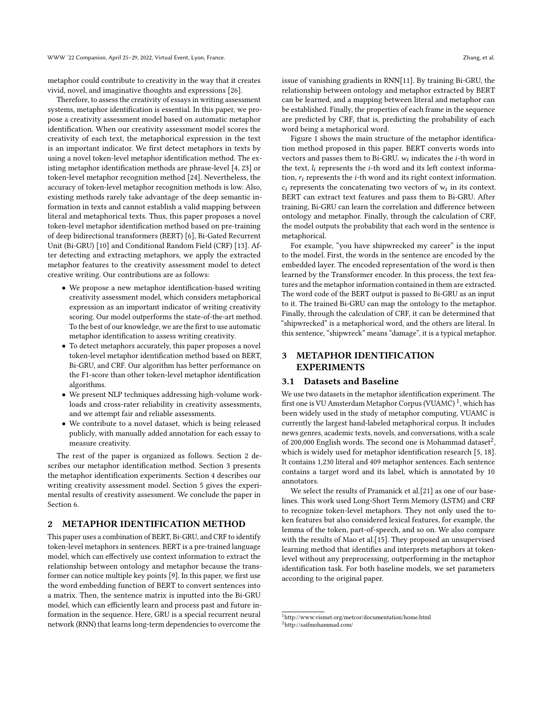metaphor could contribute to creativity in the way that it creates vivid, novel, and imaginative thoughts and expressions [\[26\]](#page-7-2).

Therefore, to assess the creativity of essays in writing assessment systems, metaphor identification is essential. In this paper, we propose a creativity assessment model based on automatic metaphor identification. When our creativity assessment model scores the creativity of each text, the metaphorical expression in the text is an important indicator. We first detect metaphors in texts by using a novel token-level metaphor identification method. The existing metaphor identification methods are phrase-level [\[4,](#page-6-10) [23\]](#page-6-11) or token-level metaphor recognition method [\[24\]](#page-6-12). Nevertheless, the accuracy of token-level metaphor recognition methods is low. Also, existing methods rarely take advantage of the deep semantic information in texts and cannot establish a valid mapping between literal and metaphorical texts. Thus, this paper proposes a novel token-level metaphor identification method based on pre-training of deep bidirectional transformers (BERT) [\[6\]](#page-6-13), Bi-Gated Recurrent Unit (Bi-GRU) [\[10\]](#page-6-14) and Conditional Random Field (CRF) [\[13\]](#page-6-15). After detecting and extracting metaphors, we apply the extracted metaphor features to the creativity assessment model to detect creative writing. Our contributions are as follows:

- We propose a new metaphor identification-based writing creativity assessment model, which considers metaphorical expression as an important indicator of writing creativity scoring. Our model outperforms the state-of-the-art method. To the best of our knowledge, we are the first to use automatic metaphor identification to assess writing creativity.
- To detect metaphors accurately, this paper proposes a novel token-level metaphor identification method based on BERT, Bi-GRU, and CRF. Our algorithm has better performance on the F1-score than other token-level metaphor identification algorithms.
- We present NLP techniques addressing high-volume workloads and cross-rater reliability in creativity assessments, and we attempt fair and reliable assessments.
- We contribute to a novel dataset, which is being released publicly, with manually added annotation for each essay to measure creativity.

The rest of the paper is organized as follows. Section [2](#page-1-0) describes our metaphor identification method. Section [3](#page-1-1) presents the metaphor identification experiments. Section [4](#page-3-0) describes our writing creativity assessment model. Section [5](#page-4-0) gives the experimental results of creativity assessment. We conclude the paper in Section [6.](#page-6-16)

# <span id="page-1-0"></span>2 METAPHOR IDENTIFICATION METHOD

This paper uses a combination of BERT, Bi-GRU, and CRF to identify token-level metaphors in sentences. BERT is a pre-trained language model, which can effectively use context information to extract the relationship between ontology and metaphor because the transformer can notice multiple key points [\[9\]](#page-6-17). In this paper, we first use the word embedding function of BERT to convert sentences into a matrix. Then, the sentence matrix is inputted into the Bi-GRU model, which can efficiently learn and process past and future information in the sequence. Here, GRU is a special recurrent neural network (RNN) that learns long-term dependencies to overcome the

issue of vanishing gradients in RNN[\[11\]](#page-6-18). By training Bi-GRU, the relationship between ontology and metaphor extracted by BERT can be learned, and a mapping between literal and metaphor can be established. Finally, the properties of each frame in the sequence are predicted by CRF, that is, predicting the probability of each word being a metaphorical word.

Figure [1](#page-2-0) shows the main structure of the metaphor identification method proposed in this paper. BERT converts words into vectors and passes them to Bi-GRU.  $w_i$  indicates the *i*-th word in the text,  $l_i$  represents the *i*-th word and its left context information,  $r_i$  represents the *i*-th word and its right context information.  $c_i$  represents the concatenating two vectors of  $w_i$  in its context. BERT can extract text features and pass them to Bi-GRU. After training, Bi-GRU can learn the correlation and difference between ontology and metaphor. Finally, through the calculation of CRF, the model outputs the probability that each word in the sentence is metaphorical.

For example, "you have shipwrecked my career" is the input to the model. First, the words in the sentence are encoded by the embedded layer. The encoded representation of the word is then learned by the Transformer encoder. In this process, the text features and the metaphor information contained in them are extracted. The word code of the BERT output is passed to Bi-GRU as an input to it. The trained Bi-GRU can map the ontology to the metaphor. Finally, through the calculation of CRF, it can be determined that "shipwrecked" is a metaphorical word, and the others are literal. In this sentence, "shipwreck" means "damage", it is a typical metaphor.

# <span id="page-1-1"></span>3 METAPHOR IDENTIFICATION EXPERIMENTS

#### 3.1 Datasets and Baseline

We use two datasets in the metaphor identification experiment. The first one is VU Amsterdam Metaphor Corpus (VUAMC) <sup>[1](#page-1-2)</sup>, which has been widely used in the study of metaphor computing. VUAMC is currently the largest hand-labeled metaphorical corpus. It includes news genres, academic texts, novels, and conversations, with a scale of [2](#page-1-3)00,000 English words. The second one is Mohammad dataset<sup>2</sup>, which is widely used for metaphor identification research [\[5,](#page-6-19) [18\]](#page-6-20). It contains 1,230 literal and 409 metaphor sentences. Each sentence contains a target word and its label, which is annotated by 10 annotators.

We select the results of Pramanick et al.[\[21\]](#page-6-21) as one of our baselines. This work used Long-Short Term Memory (LSTM) and CRF to recognize token-level metaphors. They not only used the token features but also considered lexical features, for example, the lemma of the token, part-of-speech, and so on. We also compare with the results of Mao et al.[\[15\]](#page-6-22). They proposed an unsupervised learning method that identifies and interprets metaphors at tokenlevel without any preprocessing, outperforming in the metaphor identification task. For both baseline models, we set parameters according to the original paper.

<span id="page-1-3"></span><span id="page-1-2"></span> $^1\mbox{http://www.vismet.org/metcor/documentation/home.html}$ <sup>2</sup>http://saifmohammad.com/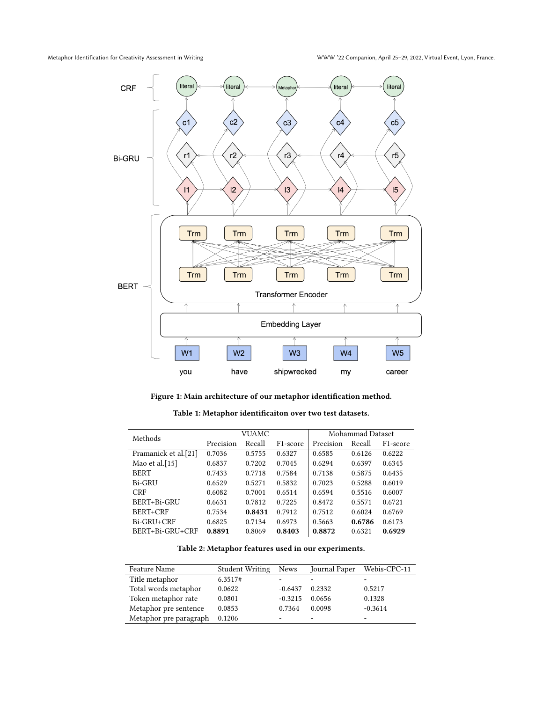<span id="page-2-0"></span>

Figure 1: Main architecture of our metaphor identification method.

Table 1: Metaphor identificaiton over two test datasets.

<span id="page-2-1"></span>

| Methods              |           | VUAMC  |                       |           | Mohammad Dataset |                       |  |
|----------------------|-----------|--------|-----------------------|-----------|------------------|-----------------------|--|
|                      | Precision | Recall | F <sub>1</sub> -score | Precision | Recall           | F <sub>1</sub> -score |  |
| Pramanick et al.[21] | 0.7036    | 0.5755 | 0.6327                | 0.6585    | 0.6126           | 0.6222                |  |
| Mao et al. $[15]$    | 0.6837    | 0.7202 | 0.7045                | 0.6294    | 0.6397           | 0.6345                |  |
| <b>BERT</b>          | 0.7433    | 0.7718 | 0.7584                | 0.7138    | 0.5875           | 0.6435                |  |
| Bi-GRU               | 0.6529    | 0.5271 | 0.5832                | 0.7023    | 0.5288           | 0.6019                |  |
| <b>CRF</b>           | 0.6082    | 0.7001 | 0.6514                | 0.6594    | 0.5516           | 0.6007                |  |
| BERT+Bi-GRU          | 0.6631    | 0.7812 | 0.7225                | 0.8472    | 0.5571           | 0.6721                |  |
| BERT+CRF             | 0.7534    | 0.8431 | 0.7912                | 0.7512    | 0.6024           | 0.6769                |  |
| Bi-GRU+CRF           | 0.6825    | 0.7134 | 0.6973                | 0.5663    | 0.6786           | 0.6173                |  |
| BERT+Bi-GRU+CRF      | 0.8891    | 0.8069 | 0.8403                | 0.8872    | 0.6321           | 0.6929                |  |

Table 2: Metaphor features used in our experiments.

<span id="page-2-2"></span>

| Feature Name           | <b>Student Writing</b> | News      | Journal Paper | Webis-CPC-11 |
|------------------------|------------------------|-----------|---------------|--------------|
| Title metaphor         | 6.3517#                |           |               |              |
| Total words metaphor   | 0.0622                 | $-0.6437$ | 0.2332        | 0.5217       |
| Token metaphor rate    | 0.0801                 | $-0.3215$ | 0.0656        | 0.1328       |
| Metaphor pre sentence  | 0.0853                 | 0.7364    | 0.0098        | $-0.3614$    |
| Metaphor pre paragraph | 0.1206                 |           |               |              |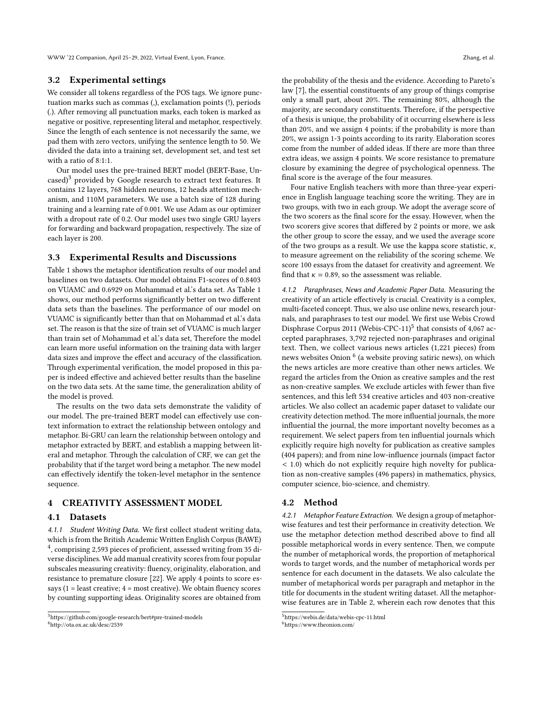WWW '22 Companion, April 25–29, 2022, Virtual Event, Lyon, France. Zhang, et al.

#### 3.2 Experimental settings

We consider all tokens regardless of the POS tags. We ignore punctuation marks such as commas (,), exclamation points (!), periods (.). After removing all punctuation marks, each token is marked as negative or positive, representing literal and metaphor, respectively. Since the length of each sentence is not necessarily the same, we pad them with zero vectors, unifying the sentence length to 50. We divided the data into a training set, development set, and test set with a ratio of 8:1:1.

Our model uses the pre-trained BERT model (BERT-Base, Un- $\text{cased}$ <sup>[3](#page-3-1)</sup> provided by Google research to extract text features. It contains 12 layers, 768 hidden neurons, 12 heads attention mechanism, and 110M parameters. We use a batch size of 128 during training and a learning rate of 0.001. We use Adam as our optimizer with a dropout rate of 0.2. Our model uses two single GRU layers for forwarding and backward propagation, respectively. The size of each layer is 200.

# 3.3 Experimental Results and Discussions

Table [1](#page-2-1) shows the metaphor identification results of our model and baselines on two datasets. Our model obtains F1-scores of 0.8403 on VUAMC and 0.6929 on Mohammad et al.'s data set. As Table [1](#page-2-1) shows, our method performs significantly better on two different data sets than the baselines. The performance of our model on VUAMC is significantly better than that on Mohammad et al.'s data set. The reason is that the size of train set of VUAMC is much larger than train set of Mohammad et al.'s data set, Therefore the model can learn more useful information on the training data with larger data sizes and improve the effect and accuracy of the classification. Through experimental verification, the model proposed in this paper is indeed effective and achieved better results than the baseline on the two data sets. At the same time, the generalization ability of the model is proved.

The results on the two data sets demonstrate the validity of our model. The pre-trained BERT model can effectively use context information to extract the relationship between ontology and metaphor. Bi-GRU can learn the relationship between ontology and metaphor extracted by BERT, and establish a mapping between literal and metaphor. Through the calculation of CRF, we can get the probability that if the target word being a metaphor. The new model can effectively identify the token-level metaphor in the sentence sequence.

# <span id="page-3-0"></span>4 CREATIVITY ASSESSMENT MODEL

#### 4.1 Datasets

4.1.1 Student Writing Data. We first collect student writing data, which is from the British Academic Written English Corpus (BAWE) [4](#page-3-2) , comprising 2,593 pieces of proficient, assessed writing from 35 diverse disciplines. We add manual creativity scores from four popular subscales measuring creativity: fluency, originality, elaboration, and resistance to premature closure [\[22\]](#page-6-23). We apply 4 points to score essays ( $1 =$  least creative;  $4 =$  most creative). We obtain fluency scores by counting supporting ideas. Originality scores are obtained from

<span id="page-3-2"></span><sup>4</sup>http://ota.ox.ac.uk/desc/2539

the probability of the thesis and the evidence. According to Pareto's law [\[7\]](#page-6-24), the essential constituents of any group of things comprise only a small part, about 20%. The remaining 80%, although the majority, are secondary constituents. Therefore, if the perspective of a thesis is unique, the probability of it occurring elsewhere is less than 20%, and we assign 4 points; if the probability is more than 20%, we assign 1-3 points according to its rarity. Elaboration scores come from the number of added ideas. If there are more than three extra ideas, we assign 4 points. We score resistance to premature closure by examining the degree of psychological openness. The final score is the average of the four measures.

Four native English teachers with more than three-year experience in English language teaching score the writing. They are in two groups, with two in each group. We adopt the average score of the two scorers as the final score for the essay. However, when the two scorers give scores that differed by 2 points or more, we ask the other group to score the essay, and we used the average score of the two groups as a result. We use the kappa score statistic,  $\kappa$ , to measure agreement on the reliability of the scoring scheme. We score 100 essays from the dataset for creativity and agreement. We find that  $\kappa = 0.89$ , so the assessment was reliable.

4.1.2 Paraphrases, News and Academic Paper Data. Measuring the creativity of an article effectively is crucial. Creativity is a complex, multi-faceted concept. Thus, we also use online news, research journals, and paraphrases to test our model. We first use Webis Crowd Disphrase Corpus 2011 (Webis-CPC-11)<sup>[5](#page-3-3)</sup> that consists of 4,067 accepted paraphrases, 3,792 rejected non-paraphrases and original text. Then, we collect various news articles (1,221 pieces) from news websites Onion  $^6$  $^6$  (a website proving satiric news), on which the news articles are more creative than other news articles. We regard the articles from the Onion as creative samples and the rest as non-creative samples. We exclude articles with fewer than five sentences, and this left 534 creative articles and 403 non-creative articles. We also collect an academic paper dataset to validate our creativity detection method. The more influential journals, the more influential the journal, the more important novelty becomes as a requirement. We select papers from ten influential journals which explicitly require high novelty for publication as creative samples (404 papers); and from nine low-influence journals (impact factor < 1.0) which do not explicitly require high novelty for publication as non-creative samples (496 papers) in mathematics, physics, computer science, bio-science, and chemistry.

### 4.2 Method

4.2.1 Metaphor Feature Extraction. We design a group of metaphorwise features and test their performance in creativity detection. We use the metaphor detection method described above to find all possible metaphorical words in every sentence. Then, we compute the number of metaphorical words, the proportion of metaphorical words to target words, and the number of metaphorical words per sentence for each document in the datasets. We also calculate the number of metaphorical words per paragraph and metaphor in the title for documents in the student writing dataset. All the metaphorwise features are in Table [2,](#page-2-2) wherein each row denotes that this

<span id="page-3-1"></span><sup>3</sup>https://github.com/google-research/bert#pre-trained-models

<span id="page-3-3"></span><sup>5</sup>https://webis.de/data/webis-cpc-11.html

<span id="page-3-4"></span><sup>6</sup>https://www.theonion.com/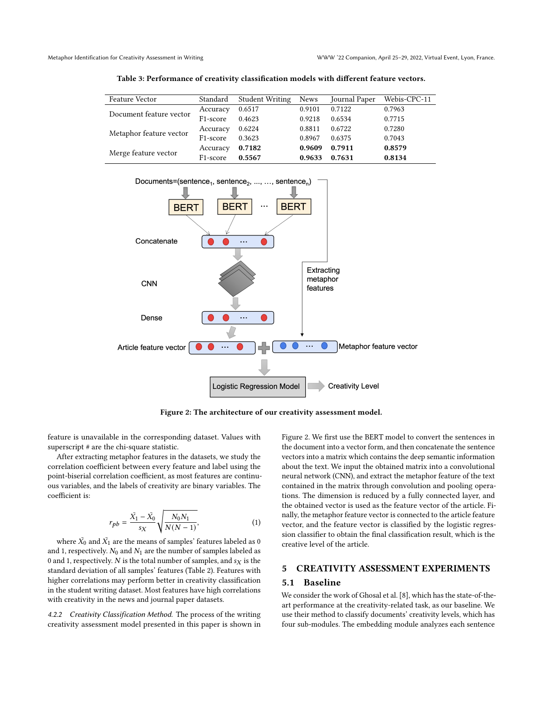<span id="page-4-2"></span>

| <b>Feature Vector</b>   | Standard              | <b>Student Writing</b> | <b>News</b> | Journal Paper | Webis-CPC-11 |
|-------------------------|-----------------------|------------------------|-------------|---------------|--------------|
| Document feature vector | Accuracy              | 0.6517                 | 0.9101      | 0.7122        | 0.7963       |
|                         | F <sub>1</sub> -score | 0.4623                 | 0.9218      | 0.6534        | 0.7715       |
| Metaphor feature vector | Accuracy              | 0.6224                 | 0.8811      | 0.6722        | 0.7280       |
|                         | F <sub>1</sub> -score | 0.3623                 | 0.8967      | 0.6375        | 0.7043       |
| Merge feature vector    | Accuracy              | 0.7182                 | 0.9609      | 0.7911        | 0.8579       |
|                         | F1-score              | 0.5567                 | 0.9633      | 0.7631        | 0.8134       |

Table 3: Performance of creativity classification models with different feature vectors.

<span id="page-4-1"></span>

Figure 2: The architecture of our creativity assessment model.

feature is unavailable in the corresponding dataset. Values with superscript # are the chi-square statistic.

After extracting metaphor features in the datasets, we study the correlation coefficient between every feature and label using the point-biserial correlation coefficient, as most features are continuous variables, and the labels of creativity are binary variables. The coefficient is:

$$
r_{pb} = \frac{\bar{X_1} - \bar{X_0}}{s_X} \sqrt{\frac{N_0 N_1}{N(N-1)}},
$$
\n(1)

where  $\bar{X_0}$  and  $\bar{X_1}$  are the means of samples' features labeled as 0 and 1, respectively.  $N_0$  and  $N_1$  are the number of samples labeled as 0 and 1, respectively.  $N$  is the total number of samples, and  $s_X$  is the standard deviation of all samples' features (Table [2\)](#page-2-2). Features with higher correlations may perform better in creativity classification in the student writing dataset. Most features have high correlations with creativity in the news and journal paper datasets.

4.2.2 Creativity Classification Method. The process of the writing creativity assessment model presented in this paper is shown in Figure [2.](#page-4-1) We first use the BERT model to convert the sentences in the document into a vector form, and then concatenate the sentence vectors into a matrix which contains the deep semantic information about the text. We input the obtained matrix into a convolutional neural network (CNN), and extract the metaphor feature of the text contained in the matrix through convolution and pooling operations. The dimension is reduced by a fully connected layer, and the obtained vector is used as the feature vector of the article. Finally, the metaphor feature vector is connected to the article feature vector, and the feature vector is classified by the logistic regression classifier to obtain the final classification result, which is the creative level of the article.

#### <span id="page-4-0"></span>5 CREATIVITY ASSESSMENT EXPERIMENTS

## 5.1 Baseline

We consider the work of Ghosal et al. [\[8\]](#page-6-25), which has the state-of-theart performance at the creativity-related task, as our baseline. We use their method to classify documents' creativity levels, which has four sub-modules. The embedding module analyzes each sentence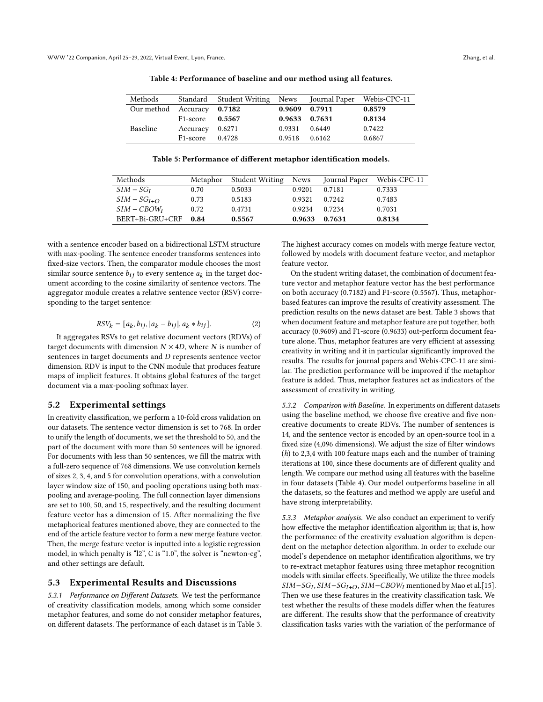<span id="page-5-0"></span>

| Methods                    |                       | Standard Student Writing News Journal Paper Webis-CPC-11 |               |               |        |
|----------------------------|-----------------------|----------------------------------------------------------|---------------|---------------|--------|
| Our method Accuracy 0.7182 |                       |                                                          |               | 0.9609 0.7911 | 0.8579 |
|                            | $F1-score$ 0.5567     |                                                          | 0.9633 0.7631 |               | 0.8134 |
| <b>Baseline</b>            | Accuracy 0.6271       |                                                          | 0.9331        | 0.6449        | 0.7422 |
|                            | F <sub>1</sub> -score | 0.4728                                                   | 0.9518        | 0.6162        | 0.6867 |

Table 4: Performance of baseline and our method using all features.

Table 5: Performance of different metaphor identification models.

<span id="page-5-1"></span>

| Methods         |      | Metaphor Student Writing | News   | Journal Paper | Webis-CPC-11 |
|-----------------|------|--------------------------|--------|---------------|--------------|
| $SIM - SGI$     | 0.70 | 0.5033                   | 0.9201 | 0.7181        | 0.7333       |
| $SIM - SGI+O$   | 0.73 | 0.5183                   | 0.9321 | 0.7242        | 0.7483       |
| $SIM - CBOWI$   | 0.72 | 0.4731                   | 0.9234 | 0.7234        | 0.7031       |
| BERT+Bi-GRU+CRF | 0.84 | 0.5567                   | 0.9633 | 0.7631        | 0.8134       |

with a sentence encoder based on a bidirectional LSTM structure with max-pooling. The sentence encoder transforms sentences into fixed-size vectors. Then, the comparator module chooses the most similar source sentence  $b_{ij}$  to every sentence  $a_k$  in the target document according to the cosine similarity of sentence vectors. The aggregator module creates a relative sentence vector (RSV) corresponding to the target sentence:

$$
RSV_k = [a_k, b_{ij}, |a_k - b_{ij}|, a_k * b_{ij}].
$$
 (2)

It aggregates RSVs to get relative document vectors (RDVs) of target documents with dimension  $N \times 4D$ , where N is number of sentences in target documents and  $D$  represents sentence vector dimension. RDV is input to the CNN module that produces feature maps of implicit features. It obtains global features of the target document via a max-pooling softmax layer.

#### 5.2 Experimental settings

In creativity classification, we perform a 10-fold cross validation on our datasets. The sentence vector dimension is set to 768. In order to unify the length of documents, we set the threshold to 50, and the part of the document with more than 50 sentences will be ignored. For documents with less than 50 sentences, we fill the matrix with a full-zero sequence of 768 dimensions. We use convolution kernels of sizes 2, 3, 4, and 5 for convolution operations, with a convolution layer window size of 150, and pooling operations using both maxpooling and average-pooling. The full connection layer dimensions are set to 100, 50, and 15, respectively, and the resulting document feature vector has a dimension of 15. After normalizing the five metaphorical features mentioned above, they are connected to the end of the article feature vector to form a new merge feature vector. Then, the merge feature vector is inputted into a logistic regression model, in which penalty is "l2", C is "1.0", the solver is "newton-cg", and other settings are default.

#### 5.3 Experimental Results and Discussions

5.3.1 Performance on Different Datasets. We test the performance of creativity classification models, among which some consider metaphor features, and some do not consider metaphor features, on different datasets. The performance of each dataset is in Table [3.](#page-4-2) The highest accuracy comes on models with merge feature vector, followed by models with document feature vector, and metaphor feature vector.

On the student writing dataset, the combination of document feature vector and metaphor feature vector has the best performance on both accuracy (0.7182) and F1-score (0.5567). Thus, metaphorbased features can improve the results of creativity assessment. The prediction results on the news dataset are best. Table [3](#page-4-2) shows that when document feature and metaphor feature are put together, both accuracy (0.9609) and F1-score (0.9633) out-perform document feature alone. Thus, metaphor features are very efficient at assessing creativity in writing and it in particular significantly improved the results. The results for journal papers and Webis-CPC-11 are similar. The prediction performance will be improved if the metaphor feature is added. Thus, metaphor features act as indicators of the assessment of creativity in writing.

5.3.2 Comparison with Baseline. In experiments on different datasets using the baseline method, we choose five creative and five noncreative documents to create RDVs. The number of sentences is 14, and the sentence vector is encoded by an open-source tool in a fixed size (4,096 dimensions). We adjust the size of filter windows (h) to 2,3,4 with 100 feature maps each and the number of training iterations at 100, since these documents are of different quality and length. We compare our method using all features with the baseline in four datasets (Table [4\)](#page-5-0). Our model outperforms baseline in all the datasets, so the features and method we apply are useful and have strong interpretability.

5.3.3 Metaphor analysis. We also conduct an experiment to verify how effective the metaphor identification algorithm is; that is, how the performance of the creativity evaluation algorithm is dependent on the metaphor detection algorithm. In order to exclude our model's dependence on metaphor identification algorithms, we try to re-extract metaphor features using three metaphor recognition models with similar effects. Specifically, We utilize the three models  $SIM-SG_I, SIM-SG_{I+O}, SIM-CBOW_I$  mentioned by Mao et al.[\[15\]](#page-6-22). Then we use these features in the creativity classification task. We test whether the results of these models differ when the features are different. The results show that the performance of creativity classification tasks varies with the variation of the performance of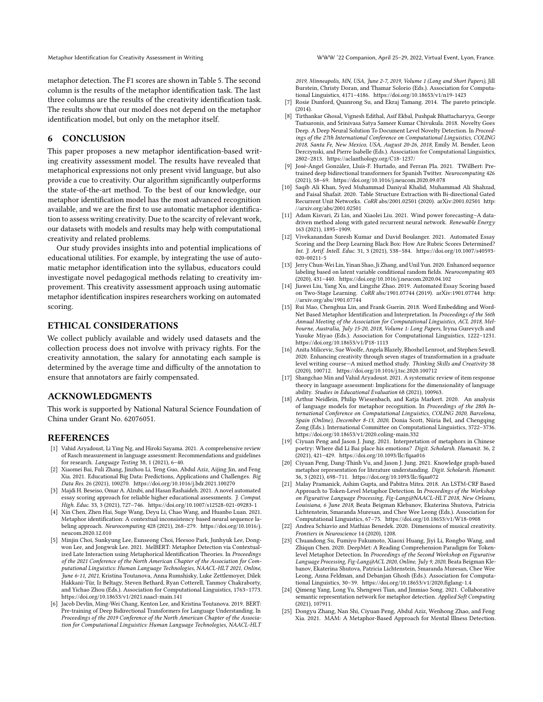metaphor detection. The F1 scores are shown in Table [5.](#page-5-1) The second column is the results of the metaphor identification task. The last three columns are the results of the creativity identification task. The results show that our model does not depend on the metaphor identification model, but only on the metaphor itself.

# <span id="page-6-16"></span>6 CONCLUSION

This paper proposes a new metaphor identification-based writing creativity assessment model. The results have revealed that metaphorical expressions not only present vivid language, but also provide a cue to creativity. Our algorithm significantly outperforms the state-of-the-art method. To the best of our knowledge, our metaphor identification model has the most advanced recognition available, and we are the first to use automatic metaphor identification to assess writing creativity. Due to the scarcity of relevant work, our datasets with models and results may help with computational creativity and related problems.

Our study provides insights into and potential implications of educational utilities. For example, by integrating the use of automatic metaphor identification into the syllabus, educators could investigate novel pedagogical methods relating to creativity improvement. This creativity assessment approach using automatic metaphor identification inspires researchers working on automated scoring.

#### ETHICAL CONSIDERATIONS

We collect publicly available and widely used datasets and the collection process does not involve with privacy rights. For the creativity annotation, the salary for annotating each sample is determined by the average time and difficulty of the annotation to ensure that annotators are fairly compensated.

#### ACKNOWLEDGMENTS

This work is supported by National Natural Science Foundation of China under Grant No. 62076051.

#### **REFERENCES**

- <span id="page-6-0"></span>[1] Vahid Aryadoust, Li Ying Ng, and Hiroki Sayama. 2021. A comprehensive review of Rasch measurement in language assessment: Recommendations and guidelines for research. Language Testing 38, 1 (2021), 6–40.
- <span id="page-6-1"></span>[2] Xiaomei Bai, Fuli Zhang, Jinzhou Li, Teng Guo, Abdul Aziz, Aijing Jin, and Feng Xia. 2021. Educational Big Data: Predictions, Applications and Challenges. Big Data Res. 26 (2021), 100270.<https://doi.org/10.1016/j.bdr.2021.100270>
- <span id="page-6-5"></span>[3] Majdi H. Beseiso, Omar A. Alzubi, and Hasan Rashaideh. 2021. A novel automated essay scoring approach for reliable higher educational assessments. J. Comput. High. Educ. 33, 3 (2021), 727–746.<https://doi.org/10.1007/s12528-021-09283-1>
- <span id="page-6-10"></span>[4] Xin Chen, Zhen Hai, Suge Wang, Deyu Li, Chao Wang, and Huanbo Luan. 2021. Metaphor identification: A contextual inconsistency based neural sequence labeling approach. Neurocomputing 428 (2021), 268–279. [https://doi.org/10.1016/j.](https://doi.org/10.1016/j.neucom.2020.12.010) [neucom.2020.12.010](https://doi.org/10.1016/j.neucom.2020.12.010)
- <span id="page-6-19"></span>[5] Minjin Choi, Sunkyung Lee, Eunseong Choi, Heesoo Park, Junhyuk Lee, Dongwon Lee, and Jongwuk Lee. 2021. MelBERT: Metaphor Detection via Contextualized Late Interaction using Metaphorical Identification Theories. In Proceedings of the 2021 Conference of the North American Chapter of the Association for Computational Linguistics: Human Language Technologies, NAACL-HLT 2021, Online, June 6-11, 2021, Kristina Toutanova, Anna Rumshisky, Luke Zettlemoyer, Dilek Hakkani-Tür, Iz Beltagy, Steven Bethard, Ryan Cotterell, Tanmoy Chakraborty, and Yichao Zhou (Eds.). Association for Computational Linguistics, 1763–1773. <https://doi.org/10.18653/v1/2021.naacl-main.141>
- <span id="page-6-13"></span>[6] Jacob Devlin, Ming-Wei Chang, Kenton Lee, and Kristina Toutanova. 2019. BERT: Pre-training of Deep Bidirectional Transformers for Language Understanding. In Proceedings of the 2019 Conference of the North American Chapter of the Association for Computational Linguistics: Human Language Technologies, NAACL-HLT

2019, Minneapolis, MN, USA, June 2-7, 2019, Volume 1 (Long and Short Papers), Jill Burstein, Christy Doran, and Thamar Solorio (Eds.). Association for Computational Linguistics, 4171–4186.<https://doi.org/10.18653/v1/n19-1423>

- <span id="page-6-24"></span>[7] Rosie Dunford, Quanrong Su, and Ekraj Tamang. 2014. The pareto principle. (2014).
- <span id="page-6-25"></span>[8] Tirthankar Ghosal, Vignesh Edithal, Asif Ekbal, Pushpak Bhattacharyya, George Tsatsaronis, and Srinivasa Satya Sameer Kumar Chivukula. 2018. Novelty Goes Deep. A Deep Neural Solution To Document Level Novelty Detection. In Proceedings of the 27th International Conference on Computational Linguistics, COLING 2018, Santa Fe, New Mexico, USA, August 20-26, 2018, Emily M. Bender, Leon Derczynski, and Pierre Isabelle (Eds.). Association for Computational Linguistics, 2802–2813.<https://aclanthology.org/C18-1237/>
- <span id="page-6-17"></span>[9] José-Ángel González, Lluís-F. Hurtado, and Ferran Pla. 2021. TWilBert: Pretrained deep bidirectional transformers for Spanish Twitter. Neurocomputing 426 (2021), 58–69.<https://doi.org/10.1016/j.neucom.2020.09.078>
- <span id="page-6-14"></span>[10] Saqib Ali Khan, Syed Muhammad Daniyal Khalid, Muhammad Ali Shahzad, and Faisal Shafait. 2020. Table Structure Extraction with Bi-directional Gated Recurrent Unit Networks. CoRR abs/2001.02501 (2020). arXiv[:2001.02501](https://arxiv.org/abs/2001.02501) [http:](http://arxiv.org/abs/2001.02501) [//arxiv.org/abs/2001.02501](http://arxiv.org/abs/2001.02501)
- <span id="page-6-18"></span>[11] Adam Kisvari, Zi Lin, and Xiaolei Liu. 2021. Wind power forecasting–A datadriven method along with gated recurrent neural network. Renewable Energy 163 (2021), 1895–1909.
- <span id="page-6-3"></span>[12] Vivekanandan Suresh Kumar and David Boulanger. 2021. Automated Essay Scoring and the Deep Learning Black Box: How Are Rubric Scores Determined? Int. J. Artif. Intell. Educ. 31, 3 (2021), 538–584. [https://doi.org/10.1007/s40593-](https://doi.org/10.1007/s40593-020-00211-5) [020-00211-5](https://doi.org/10.1007/s40593-020-00211-5)
- <span id="page-6-15"></span>[13] Jerry Chun-Wei Lin, Yinan Shao, Ji Zhang, and Unil Yun. 2020. Enhanced sequence labeling based on latent variable conditional random fields. Neurocomputing 403 (2020), 431–440.<https://doi.org/10.1016/j.neucom.2020.04.102>
- <span id="page-6-4"></span>[14] Jiawei Liu, Yang Xu, and Lingzhe Zhao. 2019. Automated Essay Scoring based on Two-Stage Learning. CoRR abs/1901.07744 (2019). arXiv[:1901.07744](https://arxiv.org/abs/1901.07744) [http:](http://arxiv.org/abs/1901.07744) [//arxiv.org/abs/1901.07744](http://arxiv.org/abs/1901.07744)
- <span id="page-6-22"></span>[15] Rui Mao, Chenghua Lin, and Frank Guerin. 2018. Word Embedding and Word-Net Based Metaphor Identification and Interpretation. In Proceedings of the 56th Annual Meeting of the Association for Computational Linguistics, ACL 2018, Melbourne, Australia, July 15-20, 2018, Volume 1: Long Papers, Iryna Gurevych and Yusuke Miyao (Eds.). Association for Computational Linguistics, 1222–1231. <https://doi.org/10.18653/v1/P18-1113>
- <span id="page-6-6"></span>[16] Anita Milicevic, Sue Woolfe, Angela Blazely, Rhoshel Lenroot, and Stephen Sewell. 2020. Enhancing creativity through seven stages of transformation in a graduate level writing course—A mixed method study. Thinking Skills and Creativity 38 (2020), 100712.<https://doi.org/10.1016/j.tsc.2020.100712>
- <span id="page-6-2"></span>[17] Shangchao Min and Vahid Aryadoust. 2021. A systematic review of item response theory in language assessment: Implications for the dimensionality of language ability. Studies in Educational Evaluation 68 (2021), 100963.
- <span id="page-6-20"></span>[18] Arthur Neidlein, Philip Wiesenbach, and Katja Markert. 2020. An analysis of language models for metaphor recognition. In Proceedings of the 28th International Conference on Computational Linguistics, COLING 2020, Barcelona, Spain (Online), December 8-13, 2020, Donia Scott, Núria Bel, and Chengqing Zong (Eds.). International Committee on Computational Linguistics, 3722–3736. <https://doi.org/10.18653/v1/2020.coling-main.332>
- <span id="page-6-7"></span>[19] Ciyuan Peng and Jason J. Jung. 2021. Interpretation of metaphors in Chinese poetry: Where did Li Bai place his emotions? Digit. Scholarsh. Humanit. 36, 2 (2021), 421–429.<https://doi.org/10.1093/llc/fqaa016>
- <span id="page-6-9"></span>[20] Ciyuan Peng, Dang-Thinh Vu, and Jason J. Jung. 2021. Knowledge graph-based metaphor representation for literature understanding. Digit. Scholarsh. Humanit. 36, 3 (2021), 698–711.<https://doi.org/10.1093/llc/fqaa072>
- <span id="page-6-21"></span>[21] Malay Pramanick, Ashim Gupta, and Pabitra Mitra. 2018. An LSTM-CRF Based Approach to Token-Level Metaphor Detection. In Proceedings of the Workshop on Figurative Language Processing, Fig-Lang@NAACL-HLT 2018, New Orleans, Louisiana, 6 June 2018, Beata Beigman Klebanov, Ekaterina Shutova, Patricia Lichtenstein, Smaranda Muresan, and Chee Wee Leong (Eds.). Association for Computational Linguistics, 67–75.<https://doi.org/10.18653/v1/W18-0908>
- <span id="page-6-23"></span>[22] Andrea Schiavio and Mathias Benedek. 2020. Dimensions of musical creativity. Frontiers in Neuroscience 14 (2020), 1208.
- <span id="page-6-11"></span>[23] Chuandong Su, Fumiyo Fukumoto, Xiaoxi Huang, Jiyi Li, Rongbo Wang, and Zhiqun Chen. 2020. DeepMet: A Reading Comprehension Paradigm for Tokenlevel Metaphor Detection. In Proceedings of the Second Workshop on Figurative Language Processing, Fig-Lang@ACL 2020, Online, July 9, 2020, Beata Beigman Klebanov, Ekaterina Shutova, Patricia Lichtenstein, Smaranda Muresan, Chee Wee Leong, Anna Feldman, and Debanjan Ghosh (Eds.). Association for Computational Linguistics, 30–39.<https://doi.org/10.18653/v1/2020.figlang-1.4>
- <span id="page-6-12"></span>[24] Qimeng Yang, Long Yu, Shengwei Tian, and Jinmiao Song. 2021. Collaborative semantic representation network for metaphor detection. Applied Soft Computing (2021), 107911.
- <span id="page-6-8"></span>[25] Dongyu Zhang, Nan Shi, Ciyuan Peng, Abdul Aziz, Wenhong Zhao, and Feng Xia. 2021. MAM: A Metaphor-Based Approach for Mental Illness Detection.